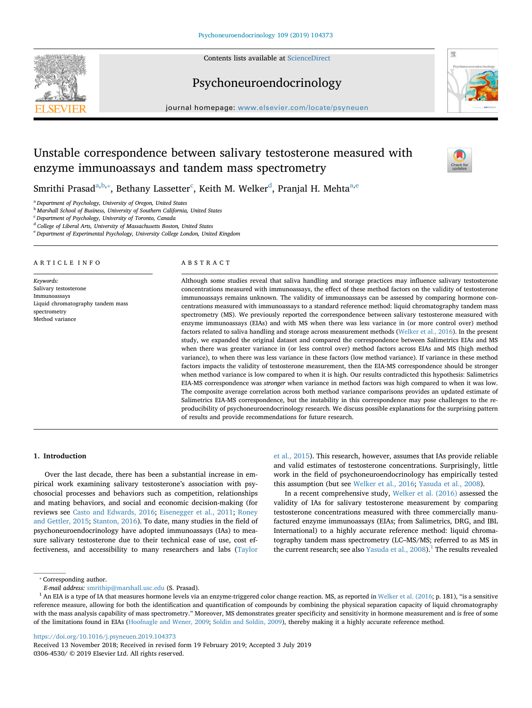Contents lists available at [ScienceDirect](http://www.sciencedirect.com/science/journal/03064530)





## Psychoneuroendocrinology

journal homepage: [www.elsevier.com/locate/psyneuen](https://www.elsevier.com/locate/psyneuen)

# Unstable correspondence between salivary testosterone measured with enzyme immunoassays and tandem mass spectrometry



Smrithi Pr[a](#page-0-0)sa[d](#page-0-4) $^{\mathrm{a,b,*}},$  $^{\mathrm{a,b,*}},$  $^{\mathrm{a,b,*}},$  B[e](#page-0-5)thany Lassetter $^{\mathrm{c}}$  $^{\mathrm{c}}$  $^{\mathrm{c}}$ , Keith M. Welker $^{\mathrm{d}}$ , Pranjal H. Mehta $^{\mathrm{a,e}}$  $^{\mathrm{a,e}}$  $^{\mathrm{a,e}}$ 

<span id="page-0-0"></span><sup>a</sup> *Department of Psychology, University of Oregon, United States*

<span id="page-0-1"></span><sup>b</sup> *Marshall School of Business, University of Southern California, United States*

<span id="page-0-3"></span><sup>c</sup> *Department of Psychology, University of Toronto, Canada*

<span id="page-0-4"></span><sup>d</sup> *College of Liberal Arts, University of Massachusetts Boston, United States*

<span id="page-0-5"></span><sup>e</sup> *Department of Experimental Psychology, University College London, United Kingdom*

#### ARTICLE INFO

*Keywords:* Salivary testosterone Immunoassays Liquid chromatography tandem mass spectrometry Method variance

## ABSTRACT

Although some studies reveal that saliva handling and storage practices may influence salivary testosterone concentrations measured with immunoassays, the effect of these method factors on the validity of testosterone immunoassays remains unknown. The validity of immunoassays can be assessed by comparing hormone concentrations measured with immunoassays to a standard reference method: liquid chromatography tandem mass spectrometry (MS). We previously reported the correspondence between salivary testosterone measured with enzyme immunoassays (EIAs) and with MS when there was less variance in (or more control over) method factors related to saliva handling and storage across measurement methods [\(Welker et al., 2016\)](#page-8-0). In the present study, we expanded the original dataset and compared the correspondence between Salimetrics EIAs and MS when there was greater variance in (or less control over) method factors across EIAs and MS (high method variance), to when there was less variance in these factors (low method variance). If variance in these method factors impacts the validity of testosterone measurement, then the EIA-MS correspondence should be stronger when method variance is low compared to when it is high. Our results contradicted this hypothesis: Salimetrics EIA-MS correspondence was *stronger* when variance in method factors was high compared to when it was low. The composite average correlation across both method variance comparisons provides an updated estimate of Salimetrics EIA-MS correspondence, but the instability in this correspondence may pose challenges to the reproducibility of psychoneuroendocrinology research. We discuss possible explanations for the surprising pattern of results and provide recommendations for future research.

## **1. Introduction**

Over the last decade, there has been a substantial increase in empirical work examining salivary testosterone's association with psychosocial processes and behaviors such as competition, relationships and mating behaviors, and social and economic decision-making (for reviews see [Casto and Edwards, 2016](#page-8-1); [Eisenegger et al., 2011](#page-8-2); [Roney](#page-8-3) [and Gettler, 2015;](#page-8-3) [Stanton, 2016\)](#page-8-4). To date, many studies in the field of psychoneuroendocrinology have adopted immunoassays (IAs) to measure salivary testosterone due to their technical ease of use, cost effectiveness, and accessibility to many researchers and labs ([Taylor](#page-8-5)

[et al., 2015\)](#page-8-5). This research, however, assumes that IAs provide reliable and valid estimates of testosterone concentrations. Surprisingly, little work in the field of psychoneuroendocrinology has empirically tested this assumption (but see [Welker et al., 2016](#page-8-0); [Yasuda et al., 2008\)](#page-8-6).

In a recent comprehensive study, [Welker et al. \(2016\)](#page-8-0) assessed the validity of IAs for salivary testosterone measurement by comparing testosterone concentrations measured with three commercially manufactured enzyme immunoassays (EIAs; from Salimetrics, DRG, and IBL International) to a highly accurate reference method: liquid chromatography tandem mass spectrometry (LC–MS/MS; referred to as MS in the current research; see also Yasuda et al.,  $2008$ ).<sup>[1](#page-0-6)</sup> The results revealed

<span id="page-0-2"></span>⁎ Corresponding author.

<https://doi.org/10.1016/j.psyneuen.2019.104373>

*E-mail address:* [smrithip@marshall.usc.edu](mailto:smrithip@marshall.usc.edu) (S. Prasad).

<span id="page-0-6"></span><sup>&</sup>lt;sup>1</sup> An EIA is a type of IA that measures hormone levels via an enzyme-triggered color change reaction. MS, as reported in [Welker et al. \(2016](#page-8-0); p. 181), "is a sensitive reference measure, allowing for both the identification and quantification of compounds by combining the physical separation capacity of liquid chromatography with the mass analysis capability of mass spectrometry." Moreover, MS demonstrates greater specificity and sensitivity in hormone measurement and is free of some of the limitations found in EIAs ([Hoofnagle and Wener, 2009](#page-8-7); [Soldin and Soldin, 2009\)](#page-8-8), thereby making it a highly accurate reference method.

Received 13 November 2018; Received in revised form 19 February 2019; Accepted 3 July 2019 0306-4530/ © 2019 Elsevier Ltd. All rights reserved.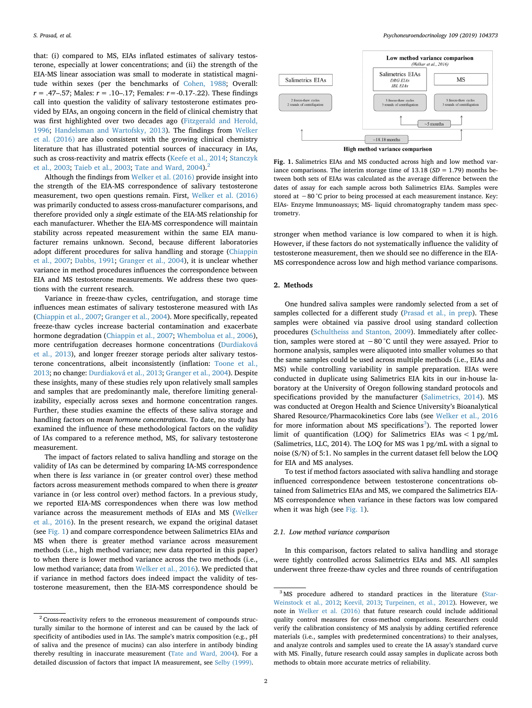that: (i) compared to MS, EIAs inflated estimates of salivary testosterone, especially at lower concentrations; and (ii) the strength of the EIA-MS linear association was small to moderate in statistical magnitude within sexes (per the benchmarks of [Cohen, 1988](#page-8-9); Overall: *r* = .47–.57; Males: *r* = .10–.17; Females: *r*=-0.17-.22). These findings call into question the validity of salivary testosterone estimates provided by EIAs, an ongoing concern in the field of clinical chemistry that was first highlighted over two decades ago ([Fitzgerald and Herold,](#page-8-10) [1996;](#page-8-10) [Handelsman and Wartofsky, 2013](#page-8-11)). The findings from [Welker](#page-8-0) [et al. \(2016\)](#page-8-0) are also consistent with the growing clinical chemistry literature that has illustrated potential sources of inaccuracy in IAs, such as cross-reactivity and matrix effects ([Keefe et al., 2014;](#page-8-12) [Stanczyk](#page-8-13) [et al., 2003](#page-8-13); [Taieb et al., 2003](#page-8-14); [Tate and Ward, 2004\)](#page-8-15).<sup>[2](#page-1-0)</sup>

Although the findings from [Welker et al. \(2016\)](#page-8-0) provide insight into the strength of the EIA-MS correspondence of salivary testosterone measurement, two open questions remain. First, [Welker et al. \(2016\)](#page-8-0) was primarily conducted to assess cross-manufacturer comparisons, and therefore provided only a *single* estimate of the EIA-MS relationship for each manufacturer. Whether the EIA-MS correspondence will maintain stability across repeated measurement within the same EIA manufacturer remains unknown. Second, because different laboratories adopt different procedures for saliva handling and storage ([Chiappin](#page-8-16) [et al., 2007;](#page-8-16) [Dabbs, 1991;](#page-8-17) [Granger et al., 2004](#page-8-18)), it is unclear whether variance in method procedures influences the correspondence between EIA and MS testosterone measurements. We address these two questions with the current research.

Variance in freeze-thaw cycles, centrifugation, and storage time influences mean estimates of salivary testosterone measured with IAs ([Chiappin et al., 2007;](#page-8-16) [Granger et al., 2004](#page-8-18)). More specifically, repeated freeze-thaw cycles increase bacterial contamination and exacerbate hormone degradation [\(Chiappin et al., 2007;](#page-8-16) [Whembolua et al., 2006](#page-8-19)), more centrifugation decreases hormone concentrations ([Durdiaková](#page-8-20) [et al., 2013\)](#page-8-20), and longer freezer storage periods alter salivary testosterone concentrations, albeit inconsistently (inflation: [Toone et al.,](#page-8-21) [2013;](#page-8-21) no change: [Durdiaková et al., 2013;](#page-8-20) [Granger et al., 2004](#page-8-18)). Despite these insights, many of these studies rely upon relatively small samples and samples that are predominantly male, therefore limiting generalizability, especially across sexes and hormone concentration ranges. Further, these studies examine the effects of these saliva storage and handling factors on *mean hormone concentrations*. To date, no study has examined the influence of these methodological factors on the *validity* of IAs compared to a reference method, MS, for salivary testosterone measurement.

The impact of factors related to saliva handling and storage on the validity of IAs can be determined by comparing IA-MS correspondence when there is *less* variance in (or greater control over) these method factors across measurement methods compared to when there is *greater* variance in (or less control over) method factors. In a previous study, we reported EIA-MS correspondences when there was low method variance across the measurement methods of EIAs and MS ([Welker](#page-8-0) [et al., 2016](#page-8-0)). In the present research, we expand the original dataset (see [Fig. 1\)](#page-1-1) and compare correspondence between Salimetrics EIAs and MS when there is greater method variance across measurement methods (i.e., high method variance; new data reported in this paper) to when there is lower method variance across the two methods (i.e., low method variance; data from [Welker et al., 2016\)](#page-8-0). We predicted that if variance in method factors does indeed impact the validity of testosterone measurement, then the EIA-MS correspondence should be

<span id="page-1-1"></span>

**Fig. 1.** Salimetrics EIAs and MS conducted across high and low method variance comparisons. The interim storage time of  $13.18$  ( $SD = 1.79$ ) months between both sets of EIAs was calculated as the average difference between the dates of assay for each sample across both Salimetrics EIAs. Samples were stored at −80 °C prior to being processed at each measurement instance. Key: EIAs- Enzyme Immunoassays; MS- liquid chromatography tandem mass spectrometry.

stronger when method variance is low compared to when it is high. However, if these factors do not systematically influence the validity of testosterone measurement, then we should see no difference in the EIA-MS correspondence across low and high method variance comparisons.

## <span id="page-1-3"></span>**2. Methods**

One hundred saliva samples were randomly selected from a set of samples collected for a different study [\(Prasad et al., in prep\)](#page-8-22). These samples were obtained via passive drool using standard collection procedures [\(Schultheiss and Stanton, 2009\)](#page-8-23). Immediately after collection, samples were stored at −80 °C until they were assayed. Prior to hormone analysis, samples were aliquoted into smaller volumes so that the same samples could be used across multiple methods (i.e., EIAs and MS) while controlling variability in sample preparation. EIAs were conducted in duplicate using Salimetrics EIA kits in our in-house laboratory at the University of Oregon following standard protocols and specifications provided by the manufacturer ([Salimetrics, 2014\)](#page-8-24). MS was conducted at Oregon Health and Science University's Bioanalytical Shared Resource/Pharmacokinetics Core labs (see [Welker et al., 2016](#page-8-0) for more information about MS specifications<sup>[3](#page-1-2)</sup>). The reported lower limit of quantification (LOQ) for Salimetrics EIAs was  $\lt 1$  pg/mL (Salimetrics, LLC, 2014). The LOQ for MS was 1 pg/mL with a signal to noise (S/N) of 5:1. No samples in the current dataset fell below the LOQ for EIA and MS analyses.

To test if method factors associated with saliva handling and storage influenced correspondence between testosterone concentrations obtained from Salimetrics EIAs and MS, we compared the Salimetrics EIA-MS correspondence when variance in these factors was low compared when it was high (see [Fig. 1\)](#page-1-1).

#### *2.1. Low method variance comparison*

In this comparison, factors related to saliva handling and storage were tightly controlled across Salimetrics EIAs and MS. All samples underwent three freeze-thaw cycles and three rounds of centrifugation

<span id="page-1-0"></span><sup>&</sup>lt;sup>2</sup> Cross-reactivity refers to the erroneous measurement of compounds structurally similar to the hormone of interest and can be caused by the lack of specificity of antibodies used in IAs. The sample's matrix composition (e.g., pH of saliva and the presence of mucins) can also interfere in antibody binding thereby resulting in inaccurate measurement ([Tate and Ward, 2004\)](#page-8-15). For a detailed discussion of factors that impact IA measurement, see [Selby \(1999\).](#page-8-25)

<span id="page-1-2"></span><sup>&</sup>lt;sup>3</sup> MS procedure adhered to standard practices in the literature ([Star-](#page-8-26)[Weinstock et al., 2012;](#page-8-26) [Keevil, 2013;](#page-8-27) [Turpeinen, et al., 2012](#page-8-28)). However, we note in [Welker et al. \(2016\)](#page-8-0) that future research could include additional quality control measures for cross-method comparisons. Researchers could verify the calibration consistency of MS analysis by adding certified reference materials (i.e., samples with predetermined concentrations) to their analyses, and analyze controls and samples used to create the IA assay's standard curve with MS. Finally, future research could assay samples in duplicate across both methods to obtain more accurate metrics of reliability.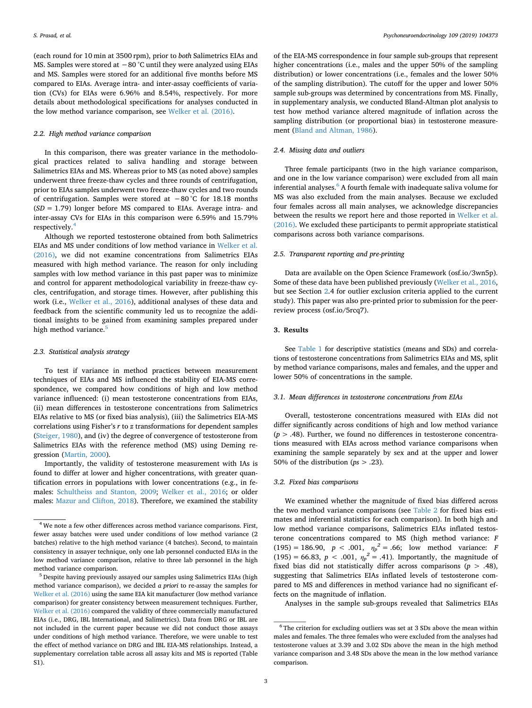(each round for 10 min at 3500 rpm), prior to *both* Salimetrics EIAs and MS. Samples were stored at −80 °C until they were analyzed using EIAs and MS. Samples were stored for an additional five months before MS compared to EIAs. Average intra- and inter-assay coefficients of variation (CVs) for EIAs were 6.96% and 8.54%, respectively. For more details about methodological specifications for analyses conducted in the low method variance comparison, see [Welker et al. \(2016\).](#page-8-0)

### *2.2. High method variance comparison*

In this comparison, there was greater variance in the methodological practices related to saliva handling and storage between Salimetrics EIAs and MS. Whereas prior to MS (as noted above) samples underwent three freeze-thaw cycles and three rounds of centrifugation, prior to EIAs samples underwent two freeze-thaw cycles and two rounds of centrifugation. Samples were stored at −80 °C for 18.18 months (*SD* = 1.79) longer before MS compared to EIAs. Average intra- and inter-assay CVs for EIAs in this comparison were 6.59% and 15.79% respectively.[4](#page-2-0)

Although we reported testosterone obtained from both Salimetrics EIAs and MS under conditions of low method variance in [Welker et al.](#page-8-0) [\(2016\),](#page-8-0) we did not examine concentrations from Salimetrics EIAs measured with high method variance. The reason for only including samples with low method variance in this past paper was to minimize and control for apparent methodological variability in freeze-thaw cycles, centrifugation, and storage times. However, after publishing this work (i.e., [Welker et al., 2016\)](#page-8-0), additional analyses of these data and feedback from the scientific community led us to recognize the additional insights to be gained from examining samples prepared under high method variance.<sup>[5](#page-2-1)</sup>

#### *2.3. Statistical analysis strategy*

To test if variance in method practices between measurement techniques of EIAs and MS influenced the stability of EIA-MS correspondence, we compared how conditions of high and low method variance influenced: (i) mean testosterone concentrations from EIAs, (ii) mean differences in testosterone concentrations from Salimetrics EIAs relative to MS (or fixed bias analysis), (iii) the Salimetrics EIA-MS correlations using Fisher's *r* to *z* transformations for dependent samples ([Steiger, 1980](#page-8-29)), and (iv) the degree of convergence of testosterone from Salimetrics EIAs with the reference method (MS) using Deming regression [\(Martin, 2000\)](#page-8-30).

Importantly, the validity of testosterone measurement with IAs is found to differ at lower and higher concentrations, with greater quantification errors in populations with lower concentrations (e.g., in females: [Schultheiss and Stanton, 2009](#page-8-23); [Welker et al., 2016](#page-8-0); or older males: [Mazur and Clifton, 2018](#page-8-31)). Therefore, we examined the stability

of the EIA-MS correspondence in four sample sub-groups that represent higher concentrations (i.e., males and the upper 50% of the sampling distribution) or lower concentrations (i.e., females and the lower 50% of the sampling distribution). The cutoff for the upper and lower 50% sample sub-groups was determined by concentrations from MS. Finally, in supplementary analysis, we conducted Bland-Altman plot analysis to test how method variance altered magnitude of inflation across the sampling distribution (or proportional bias) in testosterone measurement [\(Bland and Altman, 1986](#page-8-32)).

## *2.4. Missing data and outliers*

Three female participants (two in the high variance comparison, and one in the low variance comparison) were excluded from all main inferential analyses.<sup>[6](#page-2-2)</sup> A fourth female with inadequate saliva volume for MS was also excluded from the main analyses. Because we excluded four females across all main analyses, we acknowledge discrepancies between the results we report here and those reported in [Welker et al.](#page-8-0) [\(2016\).](#page-8-0) We excluded these participants to permit appropriate statistical comparisons across both variance comparisons.

## *2.5. Transparent reporting and pre-printing*

Data are available on the Open Science Framework (osf.io/3wn5p). Some of these data have been published previously [\(Welker et al., 2016](#page-8-0), but see Section [2.](#page-1-3)4 for outlier exclusion criteria applied to the current study). This paper was also pre-printed prior to submission for the peerreview process (osf.io/5rcq7).

#### **3. Results**

See [Table 1](#page-3-0) for descriptive statistics (means and SDs) and correlations of testosterone concentrations from Salimetrics EIAs and MS, split by method variance comparisons, males and females, and the upper and lower 50% of concentrations in the sample.

## *3.1. Mean differences in testosterone concentrations from EIAs*

Overall, testosterone concentrations measured with EIAs did not differ significantly across conditions of high and low method variance  $(p > .48)$ . Further, we found no differences in testosterone concentrations measured with EIAs across method variance comparisons when examining the sample separately by sex and at the upper and lower 50% of the distribution (*ps* > .23).

## *3.2. Fixed bias comparisons*

We examined whether the magnitude of fixed bias differed across the two method variance comparisons (see [Table 2](#page-4-0) for fixed bias estimates and inferential statistics for each comparison). In both high and low method variance comparisons, Salimetrics EIAs inflated testosterone concentrations compared to MS (high method variance: *F*  $(195) = 186.90, p < .001, \eta_p^2 = .66;$  low method variance: *F* (195) = 66.83,  $p < .001$ ,  $\eta_p^2 = .41$ ). Importantly, the magnitude of fixed bias did not statistically differ across comparisons  $(p > .48)$ , suggesting that Salimetrics EIAs inflated levels of testosterone compared to MS and differences in method variance had no significant effects on the magnitude of inflation.

Analyses in the sample sub-groups revealed that Salimetrics EIAs

<span id="page-2-0"></span><sup>4</sup> We note a few other differences across method variance comparisons. First, fewer assay batches were used under conditions of low method variance (2 batches) relative to the high method variance (4 batches). Second, to maintain consistency in assayer technique, only one lab personnel conducted EIAs in the low method variance comparison, relative to three lab personnel in the high method variance comparison.

<span id="page-2-1"></span><sup>5</sup> Despite having previously assayed our samples using Salimetrics EIAs (high method variance comparison), we decided *a priori* to re-assay the samples for [Welker et al. \(2016\)](#page-8-0) using the same EIA kit manufacturer (low method variance comparison) for greater consistency between measurement techniques. Further, [Welker et al. \(2016\)](#page-8-0) compared the validity of three commercially manufactured EIAs (i.e., DRG, IBL International, and Salimetrics). Data from DRG or IBL are not included in the current paper because we did not conduct those assays under conditions of high method variance. Therefore, we were unable to test the effect of method variance on DRG and IBL EIA-MS relationships. Instead, a supplementary correlation table across all assay kits and MS is reported (Table S1).

<span id="page-2-2"></span><sup>&</sup>lt;sup>6</sup> The criterion for excluding outliers was set at 3 SDs above the mean within males and females. The three females who were excluded from the analyses had testosterone values at 3.39 and 3.02 SDs above the mean in the high method variance comparison and 3.48 SDs above the mean in the low method variance comparison.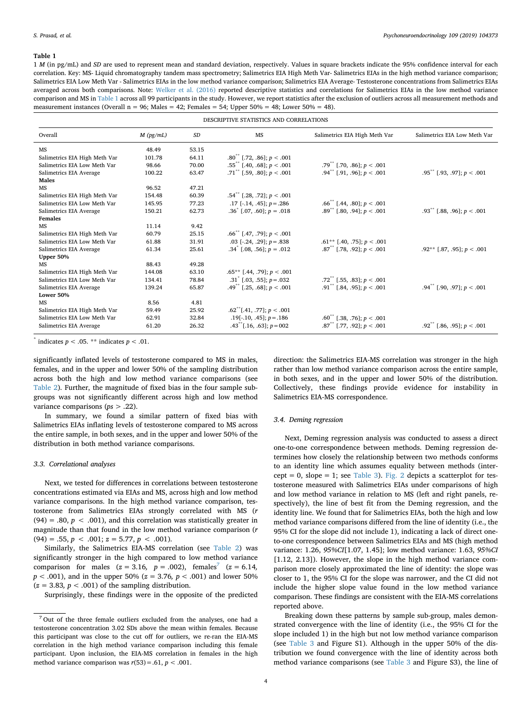#### <span id="page-3-0"></span>**Table 1**

1 *M* (in pg/mL) and *SD* are used to represent mean and standard deviation, respectively. Values in square brackets indicate the 95% confidence interval for each correlation. Key: MS- Liquid chromatography tandem mass spectrometry; Salimetrics EIA High Meth Var- Salimetrics EIAs in the high method variance comparison; Salimetrics EIA Low Meth Var - Salimetrics EIAs in the low method variance comparison; Salimetrics EIA Average- Testosterone concentrations from Salimetrics EIAs averaged across both comparisons. Note: [Welker et al. \(2016\)](#page-8-0) reported descriptive statistics and correlations for Salimetrics EIAs in the low method variance comparison and MS in [Table 1](#page-3-0) across all 99 participants in the study. However, we report statistics after the exclusion of outliers across all measurement methods and measurement instances (Overall  $n = 96$ ; Males = 42; Females = 54; Upper 50% = 48; Lower 50% = 48).

| DESCRIPTIVE STATISTICS AND CORRELATIONS |             |       |                                            |                                          |                                          |  |
|-----------------------------------------|-------------|-------|--------------------------------------------|------------------------------------------|------------------------------------------|--|
| Overall                                 | $M$ (pg/mL) | SD    | MS                                         | Salimetrics EIA High Meth Var            | Salimetrics EIA Low Meth Var             |  |
| MS                                      | 48.49       | 53.15 |                                            |                                          |                                          |  |
| Salimetrics EIA High Meth Var           | 101.78      | 64.11 | $.80^{**}$ [.72, .86]; $p < .001$          |                                          |                                          |  |
| Salimetrics EIA Low Meth Var            | 98.66       | 70.00 | $.55^{**}$ [.40, .68]; $p < .001$          | .79 <sup>**</sup> [.70, .86]; $p < .001$ |                                          |  |
| Salimetrics EIA Average                 | 100.22      | 63.47 | $.71$ <sup>**</sup> [.59, .80]; $p < .001$ | .94 <sup>**</sup> [.91, .96]; $p < .001$ | $.95^{**}$ [.93, .97]; $p < .001$        |  |
| Males                                   |             |       |                                            |                                          |                                          |  |
| <b>MS</b>                               | 96.52       | 47.21 |                                            |                                          |                                          |  |
| Salimetrics EIA High Meth Var           | 154.48      | 60.39 | $.54^{**}$ [.28, .72]; $p < .001$          |                                          |                                          |  |
| Salimetrics EIA Low Meth Var            | 145.95      | 77.23 | .17 [-.14, .45]; $p = .286$                | $.66^{**}$ [.44, .80]; $p < .001$        |                                          |  |
| Salimetrics EIA Average                 | 150.21      | 62.73 | $.36^{\circ}$ [.07, .60]; $p = .018$       | .89 <sup>**</sup> [.80, .94]; $p < .001$ | .93 <sup>**</sup> [.88, .96]; $p < .001$ |  |
| Females                                 |             |       |                                            |                                          |                                          |  |
| <b>MS</b>                               | 11.14       | 9.42  |                                            |                                          |                                          |  |
| Salimetrics EIA High Meth Var           | 60.79       | 25.15 | $.66^{**}$ [.47, .79]; $p < .001$          |                                          |                                          |  |
| Salimetrics EIA Low Meth Var            | 61.88       | 31.91 | .03 [-.24, .29]; $p = .838$                | $.61**$ [.40, .75]; $p < .001$           |                                          |  |
| Salimetrics EIA Average                 | 61.34       | 25.61 | $.34^{\circ}$ [.08, .56]; $p = .012$       | $.87^{**}$ [.78, .92]; $p < .001$        | .92** [.87, .95]; $p < .001$             |  |
| Upper 50%                               |             |       |                                            |                                          |                                          |  |
| MS                                      | 88.43       | 49.28 |                                            |                                          |                                          |  |
| Salimetrics EIA High Meth Var           | 144.08      | 63.10 | $.65**$ [.44, .79]; $p < .001$             |                                          |                                          |  |
| Salimetrics EIA Low Meth Var            | 134.41      | 78.84 | .31 <sup>*</sup> [.03, .55]; $p = .032$    | .72 <sup>**</sup> [.55, .83]; $p < .001$ |                                          |  |
| Salimetrics EIA Average                 | 139.24      | 65.87 | .49 <sup>**</sup> [.25, .68]; $p < .001$   | .91 <sup>**</sup> [.84, .95]; $p < .001$ | $.94^{**}$ [.90, .97]; $p < .001$        |  |
| Lower 50%                               |             |       |                                            |                                          |                                          |  |
| MS                                      | 8.56        | 4.81  |                                            |                                          |                                          |  |
| Salimetrics EIA High Meth Var           | 59.49       | 25.92 | $.62$ <sup>**</sup> [.41, .77]; $p < .001$ |                                          |                                          |  |
| Salimetrics EIA Low Meth Var            | 62.91       | 32.84 | .19[ $-10$ , .45]; $p = 186$               | $.60^{**}$ [.38, .76]; $p < .001$        |                                          |  |
| Salimetrics EIA Average                 | 61.20       | 26.32 | $.43$ <sup>**</sup> [.16, .63]; $p=002$    | $.87^{**}$ [.77, .92]; $p < .001$        | .92 <sup>**</sup> [.86, .95]; $p < .001$ |  |

\* indicates  $p < .05$ . \*\* indicates  $p < .01$ .

significantly inflated levels of testosterone compared to MS in males, females, and in the upper and lower 50% of the sampling distribution across both the high and low method variance comparisons (see [Table 2](#page-4-0)). Further, the magnitude of fixed bias in the four sample subgroups was not significantly different across high and low method variance comparisons (*ps* > .22).

In summary, we found a similar pattern of fixed bias with Salimetrics EIAs inflating levels of testosterone compared to MS across the entire sample, in both sexes, and in the upper and lower 50% of the distribution in both method variance comparisons.

#### *3.3. Correlational analyses*

Next, we tested for differences in correlations between testosterone concentrations estimated via EIAs and MS, across high and low method variance comparisons. In the high method variance comparison, testosterone from Salimetrics EIAs strongly correlated with MS (*r* (94) = .80,  $p < .001$ ), and this correlation was statistically greater in magnitude than that found in the low method variance comparison (*r*  $(94) = .55, p < .001; z = 5.77, p < .001$ .

Similarly, the Salimetrics EIA-MS correlation (see [Table 2\)](#page-4-0) was significantly stronger in the high compared to low method variance comparison for males ( $z = 3.16$ ,  $p = .002$ ), females<sup>[7](#page-3-1)</sup> ( $z = 6.14$ , *p* < .001), and in the upper 50% (*z* = 3.76*, p* < .001) and lower 50%  $(z = 3.83, p < .001)$  of the sampling distribution.

Surprisingly, these findings were in the opposite of the predicted

direction: the Salimetrics EIA-MS correlation was stronger in the high rather than low method variance comparison across the entire sample, in both sexes, and in the upper and lower 50% of the distribution. Collectively, these findings provide evidence for instability in Salimetrics EIA-MS correspondence.

#### *3.4. Deming regression*

Next, Deming regression analysis was conducted to assess a direct one-to-one correspondence between methods. Deming regression determines how closely the relationship between two methods conforms to an identity line which assumes equality between methods (inter-cept = 0, slope = 1; see [Table 3](#page-5-0)). [Fig. 2](#page-5-1) depicts a scatterplot for testosterone measured with Salimetrics EIAs under comparisons of high and low method variance in relation to MS (left and right panels, respectively), the line of best fit from the Deming regression, and the identity line. We found that for Salimetrics EIAs, both the high and low method variance comparisons differed from the line of identity (i.e., the 95% CI for the slope did not include 1), indicating a lack of direct oneto-one correspondence between Salimetrics EIAs and MS (high method variance: 1.26, *95%CI*[1.07, 1.45]; low method variance: 1.63, *95%CI* [1.12, 2.13]). However, the slope in the high method variance comparison more closely approximated the line of identity: the slope was closer to 1, the 95% CI for the slope was narrower, and the CI did not include the higher slope value found in the low method variance comparison. These findings are consistent with the EIA-MS correlations reported above.

Breaking down these patterns by sample sub-group, males demonstrated convergence with the line of identity (i.e., the 95% CI for the slope included 1) in the high but not low method variance comparison (see [Table 3](#page-5-0) and Figure S1). Although in the upper 50% of the distribution we found convergence with the line of identity across both method variance comparisons (see [Table 3](#page-5-0) and Figure S3), the line of

<span id="page-3-1"></span><sup>7</sup> Out of the three female outliers excluded from the analyses, one had a testosterone concentration 3.02 SDs above the mean within females. Because this participant was close to the cut off for outliers, we re-ran the EIA-MS correlation in the high method variance comparison including this female participant. Upon inclusion, the EIA-MS correlation in females in the high method variance comparison was  $r(53) = .61$ ,  $p < .001$ .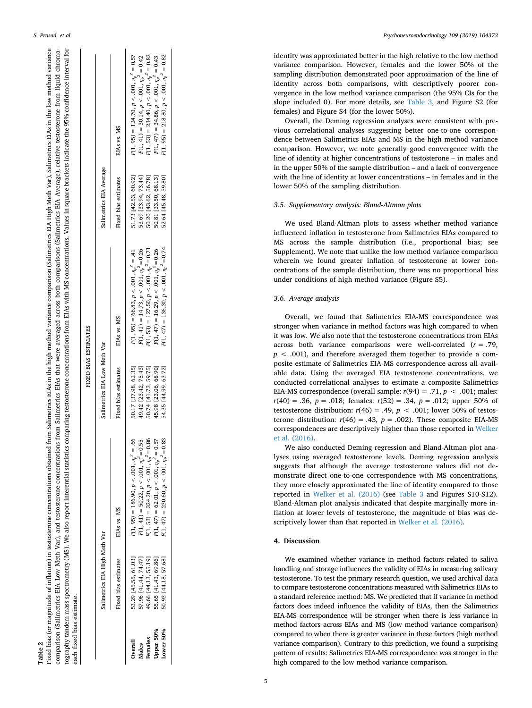<span id="page-4-0"></span>

| Table .                                                                                                                                                                                                                      |
|------------------------------------------------------------------------------------------------------------------------------------------------------------------------------------------------------------------------------|
| ed from Salimetrics EIAs in the high method variance comparison (Salimetrics EIA High Meth Var), Salimetrics EIAs in the low method variance<br>ixed bias (or magnitude of inflation) in testosterone concentrations obtain  |
| ons from Salimetrics EIAs that were averaged across both comparisons (Salimetrics EIA Average), relative testosterone from liquid chroma-<br>comparison (Salimetrics EIA Low Meth Var), and testosterone concentration       |
| ics comparing testosterone concentrations from EIAs with MS concentrations. Values in square brackets indicate the 95% confidence interval for<br>ography tandem mass spectrometry (MS). We also report inferential statist. |
| each fixed bias estimate.                                                                                                                                                                                                    |
|                                                                                                                                                                                                                              |

 $\overline{a}$   $\overline{a}$   $\overline{a}$   $\overline{a}$   $\overline{a}$   $\overline{a}$   $\overline{a}$   $\overline{a}$   $\overline{a}$   $\overline{a}$   $\overline{a}$   $\overline{a}$   $\overline{a}$   $\overline{a}$   $\overline{a}$   $\overline{a}$   $\overline{a}$   $\overline{a}$   $\overline{a}$   $\overline{a}$   $\overline{a}$   $\overline{a}$   $\overline{a}$   $\overline{a}$   $\overline{$ 

FIXED BIAS ESTIMATES

**EXAMUTSS DAIR DEXIS** 

|           | Salimetrics EIA High Meth Var |                                                   | Salimetrics EIA Low Meth Var |                                                | Salimetrics EIA Average |                                                     |
|-----------|-------------------------------|---------------------------------------------------|------------------------------|------------------------------------------------|-------------------------|-----------------------------------------------------|
|           | Fixed bias estimates          | EIAS vs. MS                                       | Fixed bias estimates         | EIAs vs. MS                                    | Fixed bias estimates    | EIAS vs. MS                                         |
| Overall   | 33.29 [45.55, 61.03]          | $F(1, 95) = 186.90, p < .001, \eta_p^2 = .66$     | 50.17 [37.98, 62.35]         | $F(1, 95) = 66.83, p < .001, \eta_p^2 = .41$   | 51.73 [42.53, 60.92]    | $F(1, 95) = 124.70, p < .001, \eta_p^2 = 0.57$      |
| Viales    | 57.96 [41.44, 74.47]          | $F(1, 41) = 50.22, p < .001, \eta_p^2 = 0.55$     | 49.42 [23.42, 75.43]         | $F(1, 41) = 14.73, p < .001, \eta_p^2 = 0.26$  | 53.69 [33.94, 73.44]    | $F(1, 41) = 30.14, p < .001, \eta_p^2 = 0.42$       |
| Females   | 19.66 [44.13, 55.19]          | $\eta(1, 53) = 324.20, p < .001, \eta_p^2 = 0.86$ | 50.74 [41.73, 59.75]         | $F(1, 53) = 127.50, p < .001, \eta_p^2 = 0.71$ | 50.20 [43.62, 56.78]    | $F(1, 53) = 234.40, p < .001, \eta_p^2 = 0.82$      |
| Upper 50% | 55.65 [41.43, 69.86]          | $F(1, 47) = 62.01, p < .001, \eta_p^2 = 0.57$     | 45.98 [23.06, 68.90]         | $F(1, 47) = 16.29, p < .001, \eta_p^2 = 0.26$  | 50.81 [33.50, 68.13]    | $F(1, 47) = 34.86$ , $p < .001$ , $\eta_p^2 = 0.43$ |
| Lower 50% | 50.93 [44.18, 57.68]          | $(1, 47) = 230.60, p < .001, \eta_n^2 = 0.83$     | 54.35 [44.99, 63.72]         | $F(1, 47) = 136.30, p < .001, \eta_p^2 = 0.74$ | 52.64 [45.48, 59.80]    | $F(1, 95) = 218.80, p < .001, \eta_p^2 = 0.82$      |
|           |                               |                                                   |                              |                                                |                         |                                                     |
|           |                               |                                                   |                              |                                                |                         |                                                     |

*S. Prasad, et al. Psychoneuroendocrinology 109 (2019) 104373*

identity was approximated better in the high relative to the low method variance comparison. However, females and the lower 50% of the sampling distribution demonstrated poor approximation of the line of identity across both comparisons, with descriptively poorer convergence in the low method variance comparison (the 95% CIs for the slope included 0). For more details, see [Table 3,](#page-5-0) and Figure S2 (for females) and Figure S4 (for the lower 50%).

Overall, the Deming regression analyses were consistent with previous correlational analyses suggesting better one-to-one correspondence between Salimetrics EIAs and MS in the high method variance comparison. However, we note generally good convergence with the line of identity at higher concentrations of testosterone – in males and in the upper 50% of the sample distribution – and a lack of convergence with the line of identity at lower concentrations – in females and in the lower 50% of the sampling distribution.

## *3.5. Supplementary analysis: Bland-Altman plots*

We used Bland-Altman plots to assess whether method variance influenced inflation in testosterone from Salimetrics EIAs compared to MS across the sample distribution (i.e., proportional bias; see Supplement). We note that unlike the low method variance comparison wherein we found greater inflation of testosterone at lower concentrations of the sample distribution, there was no proportional bias under conditions of high method variance (Figure S5).

#### <span id="page-4-1"></span>*3.6. Average analysis*

Overall, we found that Salimetrics EIA-MS correspondence was stronger when variance in method factors was high compared to when it was low. We also note that the testosterone concentrations from EIAs across both variance comparisons were well-correlated ( *r* = .79,  $p < .001$ ), and therefore averaged them together to provide a composite estimate of Salimetrics EIA-MS correspondence across all available data. Using the averaged EIA testosterone concentrations, we conducted correlational analyses to estimate a composite Salimetrics EIA-MS correspondence (overall sample:  $r(94) = .71$ ,  $p < .001$ ; males: *r*(40) = .36, *p* = .018; females: *r*(52) = .34, *p* = .012; upper 50% of testosterone distribution:  $r(46) = .49$ ,  $p < .001$ ; lower 50% of testosterone distribution:  $r(46) = .43$ ,  $p = .002$ ). These composite EIA-MS correspondences are descriptively higher than those reported in [Welker](#page-8-0) [et al. \(2016\)](#page-8-0) .

We also conducted Deming regression and Bland-Altman plot analyses using averaged testosterone levels. Deming regression analysis suggests that although the average testosterone values did not demonstrate direct one-to-one correspondence with MS concentrations, they more closely approximated the line of identity compared to those reported in [Welker et al. \(2016\)](#page-8-0) (see [Table 3](#page-5-0) and Figures S10-S12). Bland-Altman plot analysis indicated that despite marginally more inflation at lower levels of testosterone, the magnitude of bias was descriptively lower than that reported in [Welker et al. \(2016\)](#page-8-0).

## **4. Discussion**

We examined whether variance in method factors related to saliva handling and storage influences the validity of EIAs in measuring salivary testosterone. To test the primary research question, we used archival data to compare testosterone concentrations measured with Salimetrics EIAs to a standard reference method: MS. We predicted that if variance in method factors does indeed influence the validity of EIAs, then the Salimetrics EIA-MS correspondence will be stronger when there is less variance in method factors across EIAs and MS (low method variance comparison) compared to when there is greater variance in these factors (high method variance comparison). Contrary to this prediction, we found a surprising pattern of results: Salimetrics EIA-MS correspondence was stronger in the high compared to the low method variance comparison.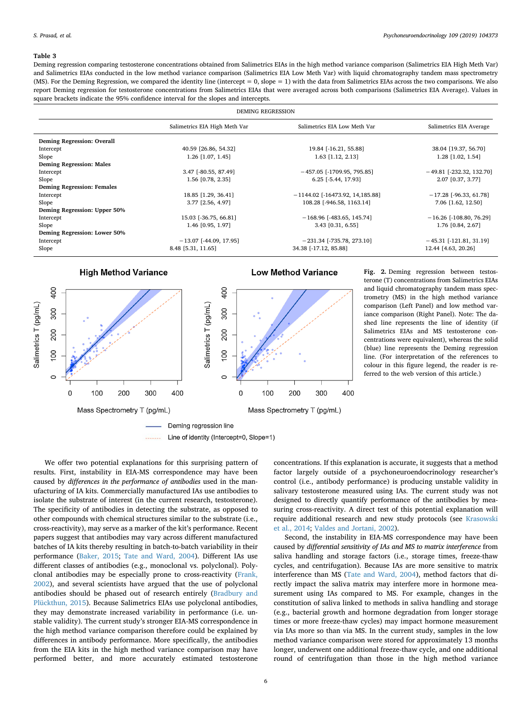#### <span id="page-5-0"></span>**Table 3**

Deming regression comparing testosterone concentrations obtained from Salimetrics EIAs in the high method variance comparison (Salimetrics EIA High Meth Var) and Salimetrics EIAs conducted in the low method variance comparison (Salimetrics EIA Low Meth Var) with liquid chromatography tandem mass spectrometry (MS). For the Deming Regression, we compared the identity line (intercept = 0, slope = 1) with the data from Salimetrics EIAs across the two comparisons. We also report Deming regression for testosterone concentrations from Salimetrics EIAs that were averaged across both comparisons (Salimetrics EIA Average). Values in square brackets indicate the 95% confidence interval for the slopes and intercepts.

| <b>DEMING REGRESSION</b>          |                               |                                   |                            |  |  |
|-----------------------------------|-------------------------------|-----------------------------------|----------------------------|--|--|
|                                   | Salimetrics EIA High Meth Var | Salimetrics EIA Low Meth Var      | Salimetrics EIA Average    |  |  |
| <b>Deming Regression: Overall</b> |                               |                                   |                            |  |  |
| Intercept                         | 40.59 [26.86, 54.32]          | 19.84 [-16.21, 55.88]             | 38.04 [19.37, 56.70]       |  |  |
| Slope                             | 1.26 [1.07, 1.45]             | 1.63 [1.12, 2.13]                 | $1.28$ [1.02, 1.54]        |  |  |
| <b>Deming Regression: Males</b>   |                               |                                   |                            |  |  |
| Intercept                         | 3.47 [-80.55, 87.49]          | $-457.05$ [-1709.95, 795.85]      | $-49.81$ [-232.32, 132.70] |  |  |
| Slope                             | 1.56 [0.78, 2.35]             | 6.25 [-5.44, 17.93]               | 2.07 [0.37, 3.77]          |  |  |
| <b>Deming Regression: Females</b> |                               |                                   |                            |  |  |
| Intercept                         | 18.85 [1.29, 36.41]           | $-1144.02$ [-16473.92, 14,185.88] | $-17.28$ [-96.33, 61.78]   |  |  |
| Slope                             | 3.77 [2.56, 4.97]             | 108.28 [-946.58, 1163.14]         | 7.06 [1.62, 12.50]         |  |  |
| Deming Regression: Upper 50%      |                               |                                   |                            |  |  |
| Intercept                         | 15.03 [-36.75, 66.81]         | $-168.96$ [-483.65, 145.74]       | $-16.26$ [-108.80, 76.29]  |  |  |
| Slope                             | 1.46 [0.95, 1.97]             | 3.43 [0.31, 6.55]                 | 1.76 [0.84, 2.67]          |  |  |
| Deming Regression: Lower 50%      |                               |                                   |                            |  |  |
| Intercept                         | $-13.07$ [-44.09, 17.95]      | $-231.34$ [-735.78, 273.10]       | $-45.31$ [-121.81, 31.19]  |  |  |
| Slope                             | 8.48 [5.31, 11.65]            | 34.38 [-17.12, 85.88]             | 12.44 [4.63, 20.26]        |  |  |

<span id="page-5-1"></span>

**Fig. 2.** Deming regression between testosterone (T) concentrations from Salimetrics EIAs and liquid chromatography tandem mass spectrometry (MS) in the high method variance comparison (Left Panel) and low method variance comparison (Right Panel). Note: The dashed line represents the line of identity (if Salimetrics EIAs and MS testosterone concentrations were equivalent), whereas the solid (blue) line represents the Deming regression line. (For interpretation of the references to colour in this figure legend, the reader is referred to the web version of this article.)

We offer two potential explanations for this surprising pattern of results. First, instability in EIA-MS correspondence may have been caused by *differences in the performance of antibodies* used in the manufacturing of IA kits. Commercially manufactured IAs use antibodies to isolate the substrate of interest (in the current research, testosterone). The specificity of antibodies in detecting the substrate, as opposed to other compounds with chemical structures similar to the substrate (i.e., cross-reactivity), may serve as a marker of the kit's performance. Recent papers suggest that antibodies may vary across different manufactured batches of IA kits thereby resulting in batch-to-batch variability in their performance ([Baker, 2015;](#page-8-33) [Tate and Ward, 2004](#page-8-15)). Different IAs use different classes of antibodies (e.g., monoclonal vs. polyclonal). Polyclonal antibodies may be especially prone to cross-reactivity [\(Frank,](#page-8-34) [2002\)](#page-8-34), and several scientists have argued that the use of polyclonal antibodies should be phased out of research entirely [\(Bradbury and](#page-8-35) [Plückthun, 2015](#page-8-35)). Because Salimetrics EIAs use polyclonal antibodies, they may demonstrate increased variability in performance (i.e. unstable validity). The current study's stronger EIA-MS correspondence in the high method variance comparison therefore could be explained by differences in antibody performance. More specifically, the antibodies from the EIA kits in the high method variance comparison may have performed better, and more accurately estimated testosterone

concentrations. If this explanation is accurate, it suggests that a method factor largely outside of a psychoneuroendocrinology researcher's control (i.e., antibody performance) is producing unstable validity in salivary testosterone measured using IAs. The current study was not designed to directly quantify performance of the antibodies by measuring cross-reactivity. A direct test of this potential explanation will require additional research and new study protocols (see [Krasowski](#page-8-36) [et al., 2014](#page-8-36); [Valdes and Jortani, 2002\)](#page-8-37).

Second, the instability in EIA-MS correspondence may have been caused by *differential sensitivity of IAs and MS to matrix interference* from saliva handling and storage factors (i.e., storage times, freeze-thaw cycles, and centrifugation). Because IAs are more sensitive to matrix interference than MS [\(Tate and Ward, 2004\)](#page-8-15), method factors that directly impact the saliva matrix may interfere more in hormone measurement using IAs compared to MS. For example, changes in the constitution of saliva linked to methods in saliva handling and storage (e.g., bacterial growth and hormone degradation from longer storage times or more freeze-thaw cycles) may impact hormone measurement via IAs more so than via MS. In the current study, samples in the low method variance comparison were stored for approximately 13 months longer, underwent one additional freeze-thaw cycle, and one additional round of centrifugation than those in the high method variance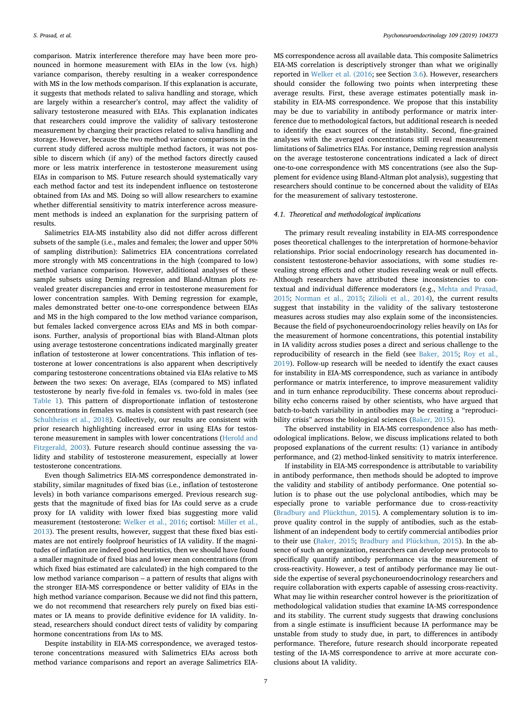comparison. Matrix interference therefore may have been more pronounced in hormone measurement with EIAs in the low (vs. high) variance comparison, thereby resulting in a weaker correspondence with MS in the low methods comparison. If this explanation is accurate, it suggests that methods related to saliva handling and storage, which are largely within a researcher's control, may affect the validity of salivary testosterone measured with EIAs. This explanation indicates that researchers could improve the validity of salivary testosterone measurement by changing their practices related to saliva handling and storage. However, because the two method variance comparisons in the current study differed across multiple method factors, it was not possible to discern which (if any) of the method factors directly caused more or less matrix interference in testosterone measurement using EIAs in comparison to MS. Future research should systematically vary each method factor and test its independent influence on testosterone obtained from IAs and MS. Doing so will allow researchers to examine whether differential sensitivity to matrix interference across measurement methods is indeed an explanation for the surprising pattern of results.

Salimetrics EIA-MS instability also did not differ across different subsets of the sample (i.e., males and females; the lower and upper 50% of sampling distribution): Salimetrics EIA concentrations correlated more strongly with MS concentrations in the high (compared to low) method variance comparison. However, additional analyses of these sample subsets using Deming regression and Bland-Altman plots revealed greater discrepancies and error in testosterone measurement for lower concentration samples. With Deming regression for example, males demonstrated better one-to-one correspondence between EIAs and MS in the high compared to the low method variance comparison, but females lacked convergence across EIAs and MS in both comparisons. Further, analysis of proportional bias with Bland-Altman plots using average testosterone concentrations indicated marginally greater inflation of testosterone at lower concentrations. This inflation of testosterone at lower concentrations is also apparent when descriptively comparing testosterone concentrations obtained via EIAs relative to MS *between* the two sexes: On average, EIAs (compared to MS) inflated testosterone by nearly five-fold in females vs. two-fold in males (see [Table 1](#page-3-0)). This pattern of disproportionate inflation of testosterone concentrations in females vs. males is consistent with past research (see [Schultheiss et al., 2018](#page-8-38)). Collectively, our results are consistent with prior research highlighting increased error in using EIAs for testosterone measurement in samples with lower concentrations [\(Herold and](#page-8-39) [Fitzgerald, 2003\)](#page-8-39). Future research should continue assessing the validity and stability of testosterone measurement, especially at lower testosterone concentrations.

Even though Salimetrics EIA-MS correspondence demonstrated instability, similar magnitudes of fixed bias (i.e., inflation of testosterone levels) in both variance comparisons emerged. Previous research suggests that the magnitude of fixed bias for IAs could serve as a crude proxy for IA validity with lower fixed bias suggesting more valid measurement (testosterone: [Welker et al., 2016;](#page-8-0) cortisol: [Miller et al.,](#page-8-40) [2013\)](#page-8-40). The present results, however, suggest that these fixed bias estimates are not entirely foolproof heuristics of IA validity. If the magnitudes of inflation are indeed good heuristics, then we should have found a smaller magnitude of fixed bias and lower mean concentrations (from which fixed bias estimated are calculated) in the high compared to the low method variance comparison – a pattern of results that aligns with the stronger EIA-MS correspondence or better validity of EIAs in the high method variance comparison. Because we did not find this pattern, we do not recommend that researchers rely purely on fixed bias estimates or IA means to provide definitive evidence for IA validity. Instead, researchers should conduct direct tests of validity by comparing hormone concentrations from IAs to MS.

Despite instability in EIA-MS correspondence, we averaged testosterone concentrations measured with Salimetrics EIAs across both method variance comparisons and report an average Salimetrics EIA-

MS correspondence across all available data. This composite Salimetrics EIA-MS correlation is descriptively stronger than what we originally reported in [Welker et al. \(2016;](#page-8-0) see Section [3.6](#page-4-1)). However, researchers should consider the following two points when interpreting these average results. First, these average estimates potentially mask instability in EIA-MS correspondence. We propose that this instability may be due to variability in antibody performance or matrix interference due to methodological factors, but additional research is needed to identify the exact sources of the instability. Second, fine-grained analyses with the averaged concentrations still reveal measurement limitations of Salimetrics EIAs. For instance, Deming regression analysis on the average testosterone concentrations indicated a lack of direct one-to-one correspondence with MS concentrations (see also the Supplement for evidence using Bland-Altman plot analysis), suggesting that researchers should continue to be concerned about the validity of EIAs for the measurement of salivary testosterone.

#### *4.1. Theoretical and methodological implications*

The primary result revealing instability in EIA-MS correspondence poses theoretical challenges to the interpretation of hormone-behavior relationships. Prior social endocrinology research has documented inconsistent testosterone-behavior associations, with some studies revealing strong effects and other studies revealing weak or null effects. Although researchers have attributed these inconsistencies to contextual and individual difference moderators (e.g., [Mehta and Prasad,](#page-8-41) [2015;](#page-8-41) [Norman et al., 2015;](#page-8-42) [Zilioli et al., 2014\)](#page-8-43), the current results suggest that instability in the validity of the salivary testosterone measures across studies may also explain some of the inconsistencies. Because the field of psychoneuroendocrinology relies heavily on IAs for the measurement of hormone concentrations, this potential instability in IA validity across studies poses a direct and serious challenge to the reproducibility of research in the field (see [Baker, 2015](#page-8-33); [Roy et al.,](#page-8-44) [2019\)](#page-8-44). Follow-up research will be needed to identify the exact causes for instability in EIA-MS correspondence, such as variance in antibody performance or matrix interference, to improve measurement validity and in turn enhance reproducibility. These concerns about reproducibility echo concerns raised by other scientists, who have argued that batch-to-batch variability in antibodies may be creating a "reproducibility crisis" across the biological sciences ([Baker, 2015\)](#page-8-33).

The observed instability in EIA-MS correspondence also has methodological implications. Below, we discuss implications related to both proposed explanations of the current results: (1) variance in antibody performance, and (2) method-linked sensitivity to matrix interference.

If instability in EIA-MS correspondence is attributable to variability in antibody performance, then methods should be adopted to improve the validity and stability of antibody performance. One potential solution is to phase out the use polyclonal antibodies, which may be especially prone to variable performance due to cross-reactivity ([Bradbury and Plückthun, 2015\)](#page-8-35). A complementary solution is to improve quality control in the supply of antibodies, such as the establishment of an independent body to certify commercial antibodies prior to their use [\(Baker, 2015;](#page-8-33) [Bradbury and Plückthun, 2015\)](#page-8-35). In the absence of such an organization, researchers can develop new protocols to specifically quantify antibody performance via the measurement of cross-reactivity. However, a test of antibody performance may lie outside the expertise of several psychoneuroendocrinology researchers and require collaboration with experts capable of assessing cross-reactivity. What may lie within researcher control however is the prioritization of methodological validation studies that examine IA-MS correspondence and its stability. The current study suggests that drawing conclusions from a single estimate is insufficient because IA performance may be unstable from study to study due, in part, to differences in antibody performance. Therefore, future research should incorporate repeated testing of the IA-MS correspondence to arrive at more accurate conclusions about IA validity.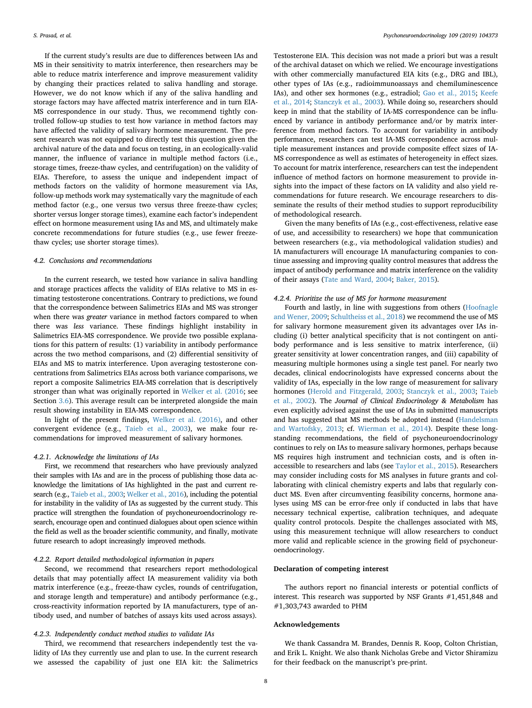If the current study's results are due to differences between IAs and MS in their sensitivity to matrix interference, then researchers may be able to reduce matrix interference and improve measurement validity by changing their practices related to saliva handling and storage. However, we do not know which if any of the saliva handling and storage factors may have affected matrix interference and in turn EIA-MS correspondence in our study. Thus, we recommend tightly controlled follow-up studies to test how variance in method factors may have affected the validity of salivary hormone measurement. The present research was not equipped to directly test this question given the archival nature of the data and focus on testing, in an ecologically-valid manner, the influence of variance in multiple method factors (i.e., storage times, freeze-thaw cycles, and centrifugation) on the validity of EIAs. Therefore, to assess the unique and independent impact of methods factors on the validity of hormone measurement via IAs, follow-up methods work may systematically vary the magnitude of each method factor (e.g., one versus two versus three freeze-thaw cycles; shorter versus longer storage times), examine each factor's independent effect on hormone measurement using IAs and MS, and ultimately make concrete recommendations for future studies (e.g., use fewer freezethaw cycles; use shorter storage times).

#### *4.2. Conclusions and recommendations*

In the current research, we tested how variance in saliva handling and storage practices affects the validity of EIAs relative to MS in estimating testosterone concentrations. Contrary to predictions, we found that the correspondence between Salimetrics EIAs and MS was stronger when there was *greater* variance in method factors compared to when there was *less* variance. These findings highlight instability in Salimetrics EIA-MS correspondence. We provide two possible explanations for this pattern of results: (1) variability in antibody performance across the two method comparisons, and (2) differential sensitivity of EIAs and MS to matrix interference. Upon averaging testosterone concentrations from Salimetrics EIAs across both variance comparisons, we report a composite Salimetrics EIA-MS correlation that is descriptively stronger than what was originally reported in [Welker et al. \(2016;](#page-8-0) see Section [3.6](#page-4-1)). This average result can be interpreted alongside the main result showing instability in EIA-MS correspondence.

In light of the present findings, [Welker et al. \(2016\),](#page-8-0) and other convergent evidence (e.g., [Taieb et al., 2003](#page-8-14)), we make four recommendations for improved measurement of salivary hormones.

#### *4.2.1. Acknowledge the limitations of IAs*

First, we recommend that researchers who have previously analyzed their samples with IAs and are in the process of publishing those data acknowledge the limitations of IAs highlighted in the past and current research (e.g., [Taieb et al., 2003](#page-8-14); [Welker et al., 2016\)](#page-8-0), including the potential for instability in the validity of IAs as suggested by the current study. This practice will strengthen the foundation of psychoneuroendocrinology research, encourage open and continued dialogues about open science within the field as well as the broader scientific community, and finally, motivate future research to adopt increasingly improved methods.

#### *4.2.2. Report detailed methodological information in papers*

Second, we recommend that researchers report methodological details that may potentially affect IA measurement validity via both matrix interference (e.g., freeze-thaw cycles, rounds of centrifugation, and storage length and temperature) and antibody performance (e.g., cross-reactivity information reported by IA manufacturers, type of antibody used, and number of batches of assays kits used across assays).

#### *4.2.3. Independently conduct method studies to validate IAs*

Third, we recommend that researchers independently test the validity of IAs they currently use and plan to use. In the current research we assessed the capability of just one EIA kit: the Salimetrics Testosterone EIA. This decision was not made a priori but was a result of the archival dataset on which we relied. We encourage investigations with other commercially manufactured EIA kits (e.g., DRG and IBL), other types of IAs (e.g., radioimmunoassays and chemiluminescence IAs), and other sex hormones (e.g., estradiol; [Gao et al., 2015;](#page-8-45) [Keefe](#page-8-12) [et al., 2014](#page-8-12); [Stanczyk et al., 2003](#page-8-13)). While doing so, researchers should keep in mind that the stability of IA-MS correspondence can be influenced by variance in antibody performance and/or by matrix interference from method factors. To account for variability in antibody performance, researchers can test IA-MS correspondence across multiple measurement instances and provide composite effect sizes of IA-MS correspondence as well as estimates of heterogeneity in effect sizes. To account for matrix interference, researchers can test the independent influence of method factors on hormone measurement to provide insights into the impact of these factors on IA validity and also yield recommendations for future research. We encourage researchers to disseminate the results of their method studies to support reproducibility of methodological research.

Given the many benefits of IAs (e.g., cost-effectiveness, relative ease of use, and accessibility to researchers) we hope that communication between researchers (e.g., via methodological validation studies) and IA manufacturers will encourage IA manufacturing companies to continue assessing and improving quality control measures that address the impact of antibody performance and matrix interference on the validity of their assays [\(Tate and Ward, 2004;](#page-8-15) [Baker, 2015\)](#page-8-33).

#### *4.2.4. Prioritize the use of MS for hormone measurement*

Fourth and lastly, in line with suggestions from others [\(Hoofnagle](#page-8-7) [and Wener, 2009](#page-8-7); [Schultheiss et al., 2018\)](#page-8-38) we recommend the use of MS for salivary hormone measurement given its advantages over IAs including (i) better analytical specificity that is not contingent on antibody performance and is less sensitive to matrix interference, (ii) greater sensitivity at lower concentration ranges, and (iii) capability of measuring multiple hormones using a single test panel. For nearly two decades, clinical endocrinologists have expressed concerns about the validity of IAs, especially in the low range of measurement for salivary hormones ([Herold and Fitzgerald, 2003](#page-8-39); [Stanczyk et al., 2003;](#page-8-13) [Taieb](#page-8-46) [et al., 2002](#page-8-46)). The *Journal of Clinical Endocrinology & Metabolism* has even explicitly advised against the use of IAs in submitted manuscripts and has suggested that MS methods be adopted instead ([Handelsman](#page-8-11) [and Wartofsky, 2013;](#page-8-11) cf. [Wierman et al., 2014](#page-8-47)). Despite these longstanding recommendations, the field of psychoneuroendocrinology continues to rely on IAs to measure salivary hormones, perhaps because MS requires high instrument and technician costs, and is often inaccessible to researchers and labs (see [Taylor et al., 2015](#page-8-5)). Researchers may consider including costs for MS analyses in future grants and collaborating with clinical chemistry experts and labs that regularly conduct MS. Even after circumventing feasibility concerns, hormone analyses using MS can be error-free only if conducted in labs that have necessary technical expertise, calibration techniques, and adequate quality control protocols. Despite the challenges associated with MS, using this measurement technique will allow researchers to conduct more valid and replicable science in the growing field of psychoneuroendocrinology.

## **Declaration of competing interest**

The authors report no financial interests or potential conflicts of interest. This research was supported by NSF Grants #1,451,848 and #1,303,743 awarded to PHM

#### **Acknowledgements**

We thank Cassandra M. Brandes, Dennis R. Koop, Colton Christian, and Erik L. Knight. We also thank Nicholas Grebe and Victor Shiramizu for their feedback on the manuscript's pre-print.